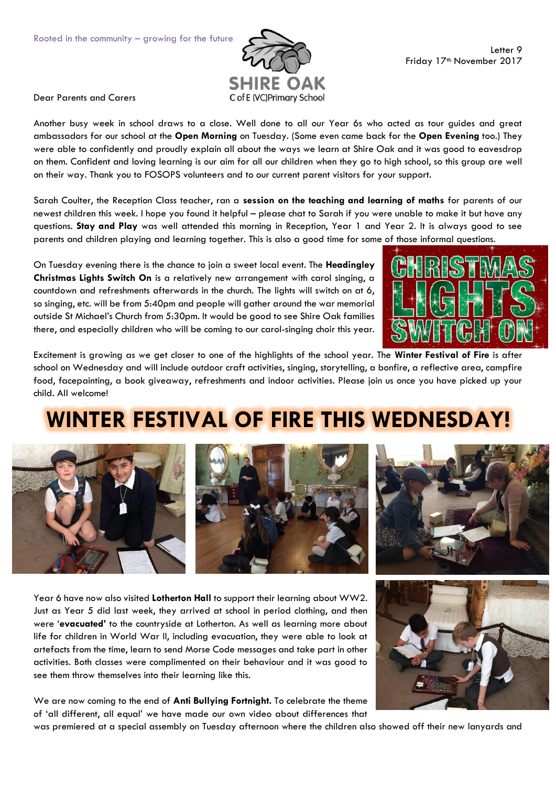

Dear Parents and Carers

Another busy week in school draws to a close. Well done to all our Year 6s who acted as tour guides and great ambassadors for our school at the **Open Morning** on Tuesday. (Some even came back for the **Open Evening** too.) They were able to confidently and proudly explain all about the ways we learn at Shire Oak and it was good to eavesdrop on them. Confident and loving learning is our aim for all our children when they go to high school, so this group are well on their way. Thank you to FOSOPS volunteers and to our current parent visitors for your support.

Sarah Coulter, the Reception Class teacher, ran a **session on the teaching and learning of maths** for parents of our newest children this week. I hope you found it helpful – please chat to Sarah if you were unable to make it but have any questions. **Stay and Play** was well attended this morning in Reception, Year 1 and Year 2. It is always good to see parents and children playing and learning together. This is also a good time for some of those informal questions.

On Tuesday evening there is the chance to join a sweet local event. The **Headingley Christmas Lights Switch On** is a relatively new arrangement with carol singing, a countdown and refreshments afterwards in the church. The lights will switch on at 6, so singing, etc. will be from 5:40pm and people will gather around the war memorial outside St Michael's Church from 5:30pm. It would be good to see Shire Oak families there, and especially children who will be coming to our carol-singing choir this year.



Excitement is growing as we get closer to one of the highlights of the school year. The **Winter Festival of Fire** is after school on Wednesday and will include outdoor craft activities, singing, storytelling, a bonfire, a reflective area, campfire food, facepainting, a book giveaway, refreshments and indoor activities. Please join us once you have picked up your child. All welcome!

## **WINTER FESTIVAL OF FIRE THIS WEDNESDAY!**



Year 6 have now also visited **Lotherton Hall** to support their learning about WW2. Just as Year 5 did last week, they arrived at school in period clothing, and then were '**evacuated'** to the countryside at Lotherton. As well as learning more about life for children in World War II, including evacuation, they were able to look at artefacts from the time, learn to send Morse Code messages and take part in other activities. Both classes were complimented on their behaviour and it was good to see them throw themselves into their learning like this.

We are now coming to the end of **Anti Bullying Fortnight.** To celebrate the theme of 'all different, all equal' we have made our own video about differences that



was premiered at a special assembly on Tuesday afternoon where the children also showed off their new lanyards and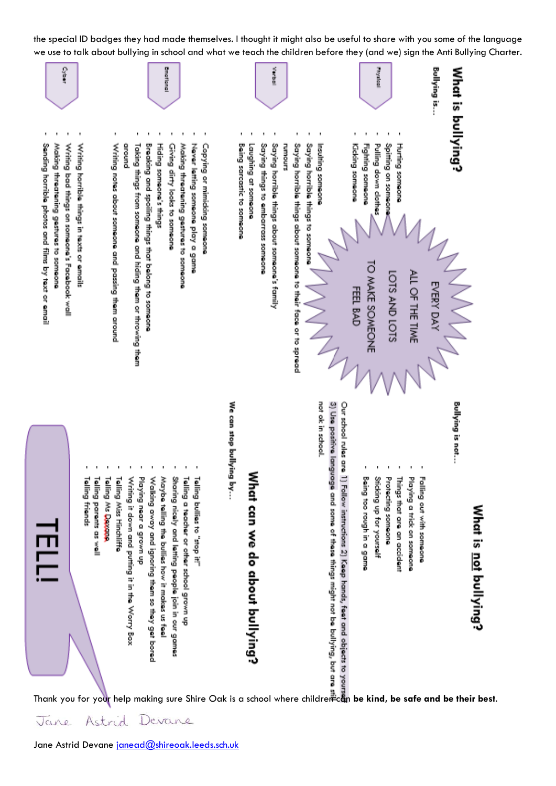the special ID badges they had made themselves. I thought it might also be useful to share with you some of the language we use to talk about bullying in school and what we teach the children before they (and we) sign the Anti Bullying Charter.



Astrid Jane Devane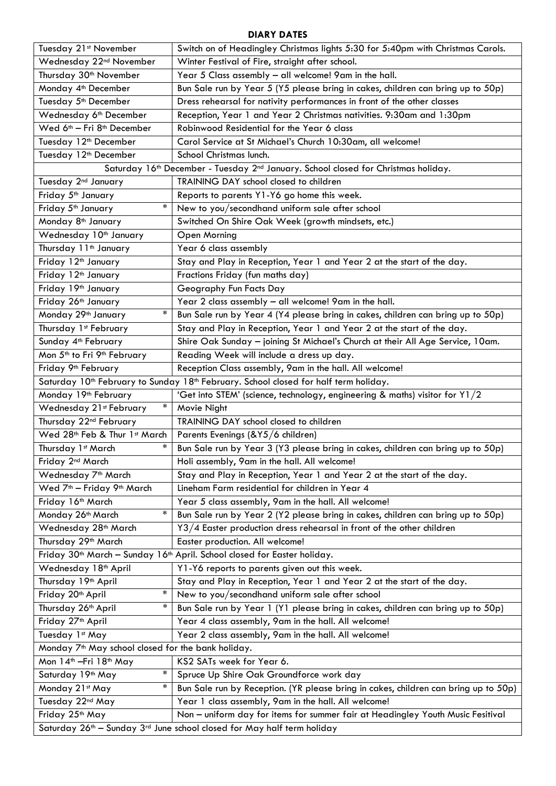## **DIARY DATES**

| Tuesday 21st November                                                                                        | Switch on of Headingley Christmas lights 5:30 for 5:40pm with Christmas Carols.                                                                            |
|--------------------------------------------------------------------------------------------------------------|------------------------------------------------------------------------------------------------------------------------------------------------------------|
| Wednesday 22 <sup>nd</sup> November                                                                          | Winter Festival of Fire, straight after school.                                                                                                            |
| Thursday 30 <sup>th</sup> November                                                                           | Year 5 Class assembly - all welcome! 9am in the hall.                                                                                                      |
| Monday 4 <sup>th</sup> December                                                                              | Bun Sale run by Year 5 (Y5 please bring in cakes, children can bring up to 50p)                                                                            |
| Tuesday 5 <sup>th</sup> December                                                                             | Dress rehearsal for nativity performances in front of the other classes                                                                                    |
| Wednesday 6th December                                                                                       | Reception, Year 1 and Year 2 Christmas nativities. 9:30am and 1:30pm                                                                                       |
| Wed 6 <sup>th</sup> - Fri 8 <sup>th</sup> December                                                           | Robinwood Residential for the Year 6 class                                                                                                                 |
| Tuesday 12 <sup>th</sup> December                                                                            | Carol Service at St Michael's Church 10:30am, all welcome!                                                                                                 |
| Tuesday 12 <sup>th</sup> December                                                                            | School Christmas lunch.                                                                                                                                    |
| Saturday 16th December - Tuesday 2nd January. School closed for Christmas holiday.                           |                                                                                                                                                            |
| Tuesday 2 <sup>nd</sup> January                                                                              | TRAINING DAY school closed to children                                                                                                                     |
| Friday 5 <sup>th</sup> January                                                                               | Reports to parents Y1-Y6 go home this week.                                                                                                                |
| $\ast$<br>Friday 5 <sup>th</sup> January                                                                     | New to you/secondhand uniform sale after school                                                                                                            |
| Monday 8 <sup>th</sup> January                                                                               | Switched On Shire Oak Week (growth mindsets, etc.)                                                                                                         |
| Wednesday 10 <sup>th</sup> January                                                                           | Open Morning                                                                                                                                               |
| Thursday 11 <sup>th</sup> January                                                                            | Year 6 class assembly                                                                                                                                      |
| Friday 12 <sup>th</sup> January                                                                              | Stay and Play in Reception, Year 1 and Year 2 at the start of the day.                                                                                     |
| Friday 12 <sup>th</sup> January                                                                              | Fractions Friday (fun maths day)                                                                                                                           |
| Friday 19th January                                                                                          | Geography Fun Facts Day                                                                                                                                    |
| Friday 26th January                                                                                          | Year 2 class assembly - all welcome! 9am in the hall.                                                                                                      |
| $\ast$<br>Monday 29 <sup>th</sup> January                                                                    | Bun Sale run by Year 4 (Y4 please bring in cakes, children can bring up to 50p)                                                                            |
| Thursday 1st February                                                                                        | Stay and Play in Reception, Year 1 and Year 2 at the start of the day.                                                                                     |
| Sunday 4 <sup>th</sup> February                                                                              | Shire Oak Sunday - joining St Michael's Church at their All Age Service, 10am.                                                                             |
| Mon 5 <sup>th</sup> to Fri 9 <sup>th</sup> February                                                          | Reading Week will include a dress up day.                                                                                                                  |
| Friday 9 <sup>th</sup> February                                                                              | Reception Class assembly, 9am in the hall. All welcome!                                                                                                    |
| Saturday 10 <sup>th</sup> February to Sunday 18 <sup>th</sup> February. School closed for half term holiday. |                                                                                                                                                            |
|                                                                                                              |                                                                                                                                                            |
| Monday 19th February                                                                                         | 'Get into STEM' (science, technology, engineering & maths) visitor for Y1/2                                                                                |
| $\ast$<br>Wednesday 21st February                                                                            | Movie Night                                                                                                                                                |
| Thursday 22nd February                                                                                       | TRAINING DAY school closed to children                                                                                                                     |
| Wed 28th Feb & Thur 1st March                                                                                | Parents Evenings (&Y5/6 children)                                                                                                                          |
| $\ast$<br>Thursday 1st March                                                                                 | Bun Sale run by Year 3 (Y3 please bring in cakes, children can bring up to 50p)                                                                            |
| Friday 2 <sup>nd</sup> March                                                                                 | Holi assembly, 9am in the hall. All welcome!                                                                                                               |
| Wednesday 7 <sup>th</sup> March                                                                              | Stay and Play in Reception, Year 1 and Year 2 at the start of the day.                                                                                     |
| Wed 7 <sup>th</sup> - Friday 9 <sup>th</sup> March                                                           | Lineham Farm residential for children in Year 4                                                                                                            |
| Friday 16th March                                                                                            | Year 5 class assembly, 9am in the hall. All welcome!                                                                                                       |
| $\ast$<br>Monday 26 <sup>th</sup> March                                                                      | Bun Sale run by Year 2 (Y2 please bring in cakes, children can bring up to 50p)                                                                            |
| Wednesday 28 <sup>th</sup> March                                                                             | Y3/4 Easter production dress rehearsal in front of the other children                                                                                      |
| Thursday 29 <sup>th</sup> March                                                                              | Easter production. All welcome!                                                                                                                            |
|                                                                                                              | Friday 30 <sup>th</sup> March - Sunday 16 <sup>th</sup> April. School closed for Easter holiday.                                                           |
| Wednesday 18 <sup>th</sup> April                                                                             | Y1-Y6 reports to parents given out this week.                                                                                                              |
| Thursday 19 <sup>th</sup> April                                                                              | Stay and Play in Reception, Year 1 and Year 2 at the start of the day.                                                                                     |
| *<br>Friday 20 <sup>th</sup> April                                                                           | New to you/secondhand uniform sale after school                                                                                                            |
| $\ast$<br>Thursday 26 <sup>th</sup> April                                                                    | Bun Sale run by Year 1 (Y1 please bring in cakes, children can bring up to 50p)                                                                            |
| Friday 27 <sup>th</sup> April                                                                                | Year 4 class assembly, 9am in the hall. All welcome!                                                                                                       |
| Tuesday 1st May                                                                                              | Year 2 class assembly, 9am in the hall. All welcome!                                                                                                       |
| Monday 7 <sup>th</sup> May school closed for the bank holiday.                                               |                                                                                                                                                            |
| Mon 14 <sup>th</sup> - Fri 18 <sup>th</sup> May                                                              | KS2 SATs week for Year 6.                                                                                                                                  |
| $\ast$<br>Saturday 19 <sup>th</sup> May                                                                      | Spruce Up Shire Oak Groundforce work day                                                                                                                   |
| $\ast$<br>Monday 21st May                                                                                    | Bun Sale run by Reception. (YR please bring in cakes, children can bring up to 50p)                                                                        |
| Tuesday 22nd May                                                                                             | Year 1 class assembly, 9am in the hall. All welcome!                                                                                                       |
| Friday 25th May                                                                                              | Non - uniform day for items for summer fair at Headingley Youth Music Fesitival<br>Saturday 26th - Sunday 3rd June school closed for May half term holiday |